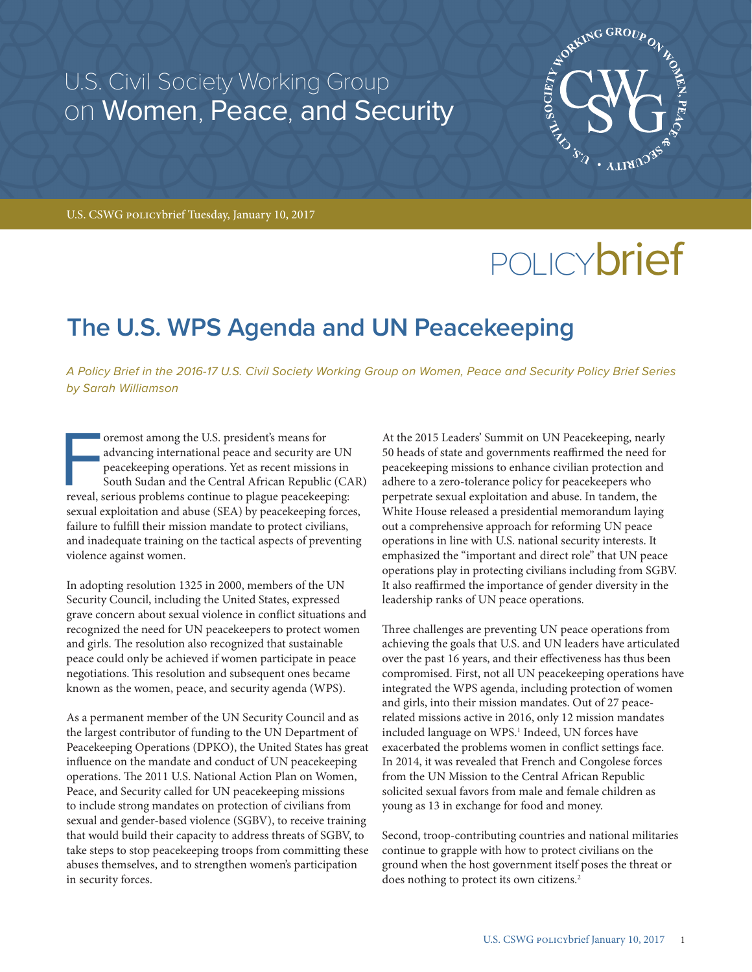# U.S. Civil Society Working Group on Women, Peace, and Security



U.S. CSWG policybrief Tuesday, January 10, 2017

# POLICY**brief**

# **The U.S. WPS Agenda and UN Peacekeeping**

*A Policy Brief in the 2016-17 U.S. Civil Society Working Group on Women, Peace and Security Policy Brief Series by Sarah Williamson*

oremost among the U.S. president's means for<br>advancing international peace and security are UN<br>peacekeeping operations. Yet as recent missions in<br>South Sudan and the Central African Republic (CA<br>reveal, serious problems co oremost among the U.S. president's means for advancing international peace and security are UN peacekeeping operations. Yet as recent missions in South Sudan and the Central African Republic (CAR) sexual exploitation and abuse (SEA) by peacekeeping forces, failure to fulfill their mission mandate to protect civilians, and inadequate training on the tactical aspects of preventing violence against women.

In adopting resolution 1325 in 2000, members of the UN Security Council, including the United States, expressed grave concern about sexual violence in conflict situations and recognized the need for UN peacekeepers to protect women and girls. The resolution also recognized that sustainable peace could only be achieved if women participate in peace negotiations. This resolution and subsequent ones became known as the women, peace, and security agenda (WPS).

As a permanent member of the UN Security Council and as the largest contributor of funding to the UN Department of Peacekeeping Operations (DPKO), the United States has great influence on the mandate and conduct of UN peacekeeping operations. The 2011 U.S. National Action Plan on Women, Peace, and Security called for UN peacekeeping missions to include strong mandates on protection of civilians from sexual and gender-based violence (SGBV), to receive training that would build their capacity to address threats of SGBV, to take steps to stop peacekeeping troops from committing these abuses themselves, and to strengthen women's participation in security forces.

At the 2015 Leaders' Summit on UN Peacekeeping, nearly 50 heads of state and governments reaffirmed the need for peacekeeping missions to enhance civilian protection and adhere to a zero-tolerance policy for peacekeepers who perpetrate sexual exploitation and abuse. In tandem, the White House released a presidential memorandum laying out a comprehensive approach for reforming UN peace operations in line with U.S. national security interests. It emphasized the "important and direct role" that UN peace operations play in protecting civilians including from SGBV. It also reaffirmed the importance of gender diversity in the leadership ranks of UN peace operations.

Three challenges are preventing UN peace operations from achieving the goals that U.S. and UN leaders have articulated over the past 16 years, and their effectiveness has thus been compromised. First, not all UN peacekeeping operations have integrated the WPS agenda, including protection of women and girls, into their mission mandates. Out of 27 peacerelated missions active in 2016, only 12 mission mandates included language on WPS.<sup>1</sup> Indeed, UN forces have exacerbated the problems women in conflict settings face. In 2014, it was revealed that French and Congolese forces from the UN Mission to the Central African Republic solicited sexual favors from male and female children as young as 13 in exchange for food and money.

Second, troop-contributing countries and national militaries continue to grapple with how to protect civilians on the ground when the host government itself poses the threat or does nothing to protect its own citizens.<sup>2</sup>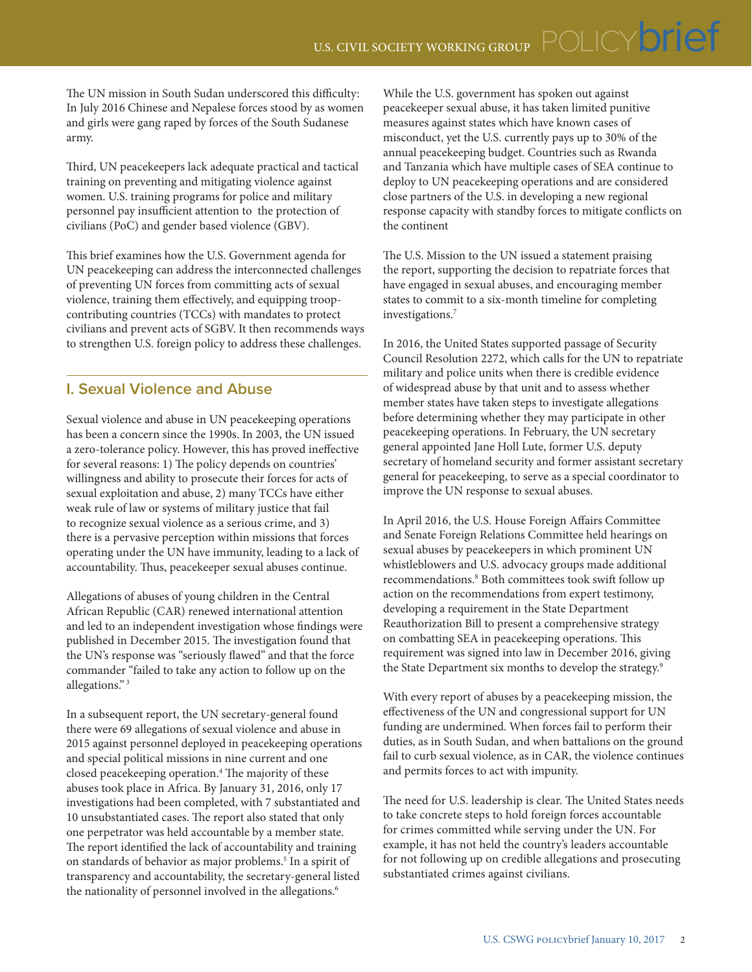The UN mission in South Sudan underscored this difficulty: In July 2016 Chinese and Nepalese forces stood by as women and girls were gang raped by forces of the South Sudanese army.

Third, UN peacekeepers lack adequate practical and tactical training on preventing and mitigating violence against women. U.S. training programs for police and military personnel pay insufficient attention to the protection of civilians (PoC) and gender based violence (GBV).

This brief examines how the U.S. Government agenda for UN peacekeeping can address the interconnected challenges of preventing UN forces from committing acts of sexual violence, training them effectively, and equipping troopcontributing countries (TCCs) with mandates to protect civilians and prevent acts of SGBV. It then recommends ways to strengthen U.S. foreign policy to address these challenges.

### **I. Sexual Violence and Abuse**

Sexual violence and abuse in UN peacekeeping operations has been a concern since the 1990s. In 2003, the UN issued a zero-tolerance policy. However, this has proved ineffective for several reasons: 1) The policy depends on countries' willingness and ability to prosecute their forces for acts of sexual exploitation and abuse, 2) many TCCs have either weak rule of law or systems of military justice that fail to recognize sexual violence as a serious crime, and 3) there is a pervasive perception within missions that forces operating under the UN have immunity, leading to a lack of accountability. Thus, peacekeeper sexual abuses continue.

Allegations of abuses of young children in the Central African Republic (CAR) renewed international attention and led to an independent investigation whose findings were published in December 2015. The investigation found that the UN's response was "seriously flawed" and that the force commander "failed to take any action to follow up on the allegations." 3

In a subsequent report, the UN secretary-general found there were 69 allegations of sexual violence and abuse in 2015 against personnel deployed in peacekeeping operations and special political missions in nine current and one closed peacekeeping operation.4 The majority of these abuses took place in Africa. By January 31, 2016, only 17 investigations had been completed, with 7 substantiated and 10 unsubstantiated cases. The report also stated that only one perpetrator was held accountable by a member state. The report identified the lack of accountability and training on standards of behavior as major problems.<sup>5</sup> In a spirit of transparency and accountability, the secretary-general listed the nationality of personnel involved in the allegations.<sup>6</sup>

While the U.S. government has spoken out against peacekeeper sexual abuse, it has taken limited punitive measures against states which have known cases of misconduct, yet the U.S. currently pays up to 30% of the annual peacekeeping budget. Countries such as Rwanda and Tanzania which have multiple cases of SEA continue to deploy to UN peacekeeping operations and are considered close partners of the U.S. in developing a new regional response capacity with standby forces to mitigate conflicts on the continent

The U.S. Mission to the UN issued a statement praising the report, supporting the decision to repatriate forces that have engaged in sexual abuses, and encouraging member states to commit to a six-month timeline for completing investigations.7

In 2016, the United States supported passage of Security Council Resolution 2272, which calls for the UN to repatriate military and police units when there is credible evidence of widespread abuse by that unit and to assess whether member states have taken steps to investigate allegations before determining whether they may participate in other peacekeeping operations. In February, the UN secretary general appointed Jane Holl Lute, former U.S. deputy secretary of homeland security and former assistant secretary general for peacekeeping, to serve as a special coordinator to improve the UN response to sexual abuses.

In April 2016, the U.S. House Foreign Affairs Committee and Senate Foreign Relations Committee held hearings on sexual abuses by peacekeepers in which prominent UN whistleblowers and U.S. advocacy groups made additional recommendations.8 Both committees took swift follow up action on the recommendations from expert testimony, developing a requirement in the State Department Reauthorization Bill to present a comprehensive strategy on combatting SEA in peacekeeping operations. This requirement was signed into law in December 2016, giving the State Department six months to develop the strategy.<sup>9</sup>

With every report of abuses by a peacekeeping mission, the effectiveness of the UN and congressional support for UN funding are undermined. When forces fail to perform their duties, as in South Sudan, and when battalions on the ground fail to curb sexual violence, as in CAR, the violence continues and permits forces to act with impunity.

The need for U.S. leadership is clear. The United States needs to take concrete steps to hold foreign forces accountable for crimes committed while serving under the UN. For example, it has not held the country's leaders accountable for not following up on credible allegations and prosecuting substantiated crimes against civilians.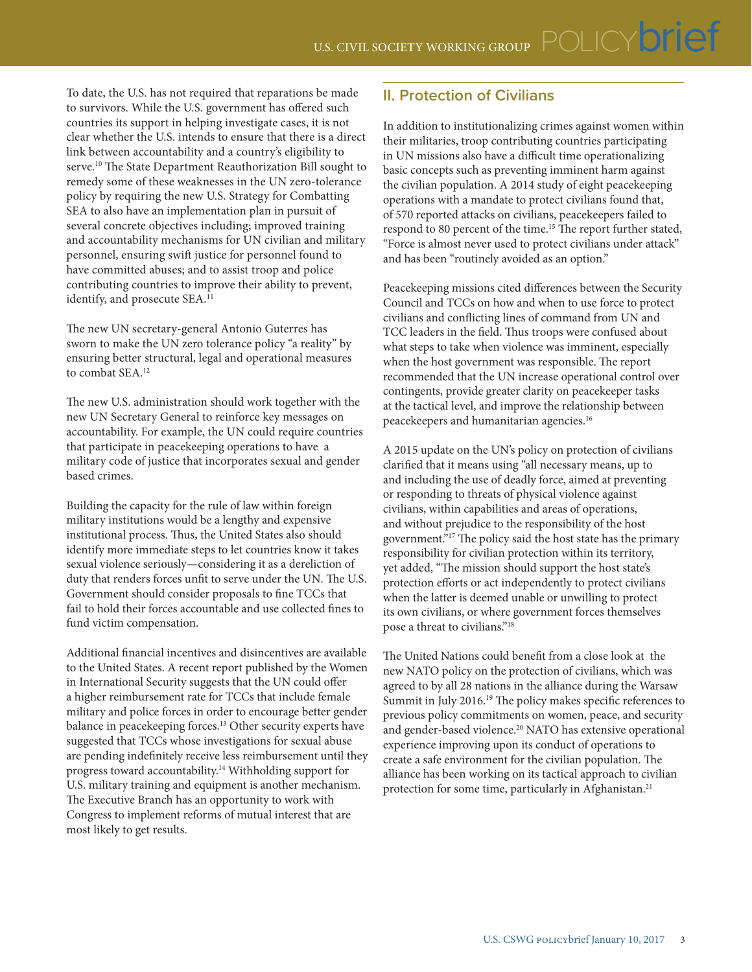To date, the U.S. has not required that reparations be made to survivors. While the U.S. government has offered such countries its support in helping investigate cases, it is not clear whether the U.S. intends to ensure that there is a direct link between accountability and a country's eligibility to serve.<sup>10</sup> The State Department Reauthorization Bill sought to remedy some of these weaknesses in the UN zero-tolerance policy by requiring the new U.S. Strategy for Combatting SEA to also have an implementation plan in pursuit of several concrete objectives including; improved training and accountability mechanisms for UN civilian and military personnel, ensuring swift justice for personnel found to have committed abuses; and to assist troop and police contributing countries to improve their ability to prevent, identify, and prosecute SEA.<sup>11</sup>

The new UN secretary-general Antonio Guterres has sworn to make the UN zero tolerance policy "a reality" by ensuring better structural, legal and operational measures to combat SEA.<sup>12</sup>

The new U.S. administration should work together with the new UN Secretary General to reinforce key messages on accountability. For example, the UN could require countries that participate in peacekeeping operations to have a military code of justice that incorporates sexual and gender based crimes.

Building the capacity for the rule of law within foreign military institutions would be a lengthy and expensive institutional process. Thus, the United States also should identify more immediate steps to let countries know it takes sexual violence seriously—considering it as a dereliction of duty that renders forces unfit to serve under the UN. The U.S. Government should consider proposals to fine TCCs that fail to hold their forces accountable and use collected fines to fund victim compensation.

Additional financial incentives and disincentives are available to the United States. A recent report published by the Women in International Security suggests that the UN could offer a higher reimbursement rate for TCCs that include female military and police forces in order to encourage better gender balance in peacekeeping forces.13 Other security experts have suggested that TCCs whose investigations for sexual abuse are pending indefinitely receive less reimbursement until they progress toward accountability.14 Withholding support for U.S. military training and equipment is another mechanism. The Executive Branch has an opportunity to work with Congress to implement reforms of mutual interest that are most likely to get results.

## **II. Protection of Civilians**

In addition to institutionalizing crimes against women within their militaries, troop contributing countries participating in UN missions also have a difficult time operationalizing basic concepts such as preventing imminent harm against the civilian population. A 2014 study of eight peacekeeping operations with a mandate to protect civilians found that, of 570 reported attacks on civilians, peacekeepers failed to respond to 80 percent of the time.<sup>15</sup> The report further stated, "Force is almost never used to protect civilians under attack" and has been "routinely avoided as an option."

Peacekeeping missions cited differences between the Security Council and TCCs on how and when to use force to protect civilians and conflicting lines of command from UN and TCC leaders in the field. Thus troops were confused about what steps to take when violence was imminent, especially when the host government was responsible. The report recommended that the UN increase operational control over contingents, provide greater clarity on peacekeeper tasks at the tactical level, and improve the relationship between peacekeepers and humanitarian agencies.16

A 2015 update on the UN's policy on protection of civilians clarified that it means using "all necessary means, up to and including the use of deadly force, aimed at preventing or responding to threats of physical violence against civilians, within capabilities and areas of operations, and without prejudice to the responsibility of the host government."17 The policy said the host state has the primary responsibility for civilian protection within its territory, yet added, "The mission should support the host state's protection efforts or act independently to protect civilians when the latter is deemed unable or unwilling to protect its own civilians, or where government forces themselves pose a threat to civilians."18

The United Nations could benefit from a close look at the new NATO policy on the protection of civilians, which was agreed to by all 28 nations in the alliance during the Warsaw Summit in July 2016.<sup>19</sup> The policy makes specific references to previous policy commitments on women, peace, and security and gender-based violence.<sup>20</sup> NATO has extensive operational experience improving upon its conduct of operations to create a safe environment for the civilian population. The alliance has been working on its tactical approach to civilian protection for some time, particularly in Afghanistan.<sup>21</sup>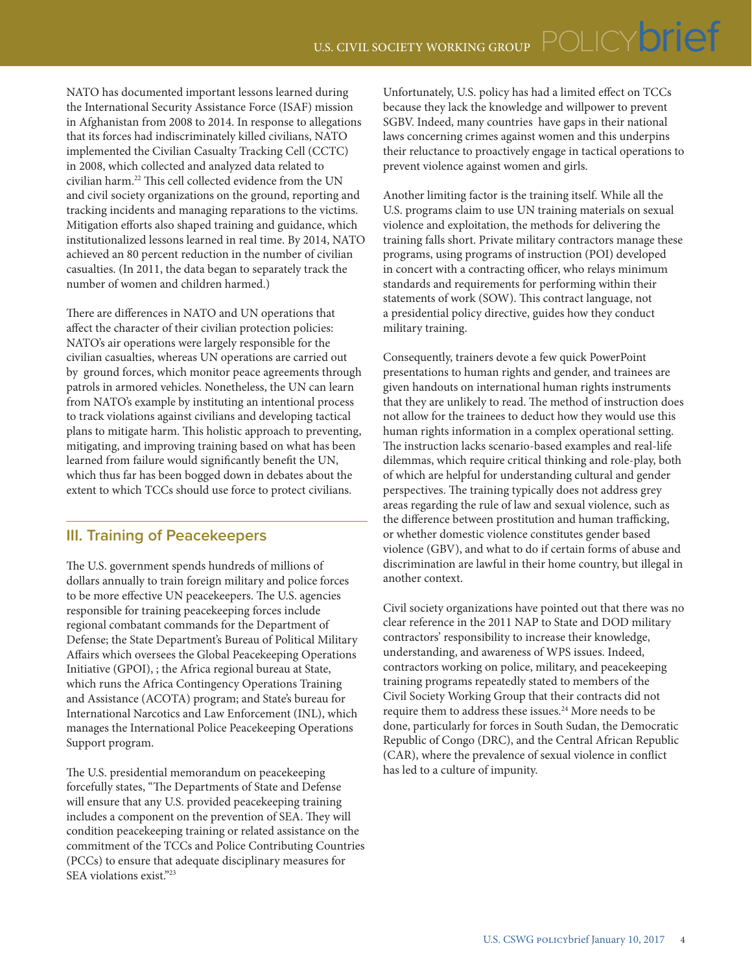NATO has documented important lessons learned during the International Security Assistance Force (ISAF) mission in Afghanistan from 2008 to 2014. In response to allegations that its forces had indiscriminately killed civilians, NATO implemented the Civilian Casualty Tracking Cell (CCTC) in 2008, which collected and analyzed data related to civilian harm.22 This cell collected evidence from the UN and civil society organizations on the ground, reporting and tracking incidents and managing reparations to the victims. Mitigation efforts also shaped training and guidance, which institutionalized lessons learned in real time. By 2014, NATO achieved an 80 percent reduction in the number of civilian casualties. (In 2011, the data began to separately track the number of women and children harmed.)

There are differences in NATO and UN operations that affect the character of their civilian protection policies: NATO's air operations were largely responsible for the civilian casualties, whereas UN operations are carried out by ground forces, which monitor peace agreements through patrols in armored vehicles. Nonetheless, the UN can learn from NATO's example by instituting an intentional process to track violations against civilians and developing tactical plans to mitigate harm. This holistic approach to preventing, mitigating, and improving training based on what has been learned from failure would significantly benefit the UN, which thus far has been bogged down in debates about the extent to which TCCs should use force to protect civilians.

#### **III. Training of Peacekeepers**

The U.S. government spends hundreds of millions of dollars annually to train foreign military and police forces to be more effective UN peacekeepers. The U.S. agencies responsible for training peacekeeping forces include regional combatant commands for the Department of Defense; the State Department's Bureau of Political Military Affairs which oversees the Global Peacekeeping Operations Initiative (GPOI), ; the Africa regional bureau at State, which runs the Africa Contingency Operations Training and Assistance (ACOTA) program; and State's bureau for International Narcotics and Law Enforcement (INL), which manages the International Police Peacekeeping Operations Support program.

The U.S. presidential memorandum on peacekeeping forcefully states, "The Departments of State and Defense will ensure that any U.S. provided peacekeeping training includes a component on the prevention of SEA. They will condition peacekeeping training or related assistance on the commitment of the TCCs and Police Contributing Countries (PCCs) to ensure that adequate disciplinary measures for SEA violations exist."23

Unfortunately, U.S. policy has had a limited effect on TCCs because they lack the knowledge and willpower to prevent SGBV. Indeed, many countries have gaps in their national laws concerning crimes against women and this underpins their reluctance to proactively engage in tactical operations to prevent violence against women and girls.

Another limiting factor is the training itself. While all the U.S. programs claim to use UN training materials on sexual violence and exploitation, the methods for delivering the training falls short. Private military contractors manage these programs, using programs of instruction (POI) developed in concert with a contracting officer, who relays minimum standards and requirements for performing within their statements of work (SOW). This contract language, not a presidential policy directive, guides how they conduct military training.

Consequently, trainers devote a few quick PowerPoint presentations to human rights and gender, and trainees are given handouts on international human rights instruments that they are unlikely to read. The method of instruction does not allow for the trainees to deduct how they would use this human rights information in a complex operational setting. The instruction lacks scenario-based examples and real-life dilemmas, which require critical thinking and role-play, both of which are helpful for understanding cultural and gender perspectives. The training typically does not address grey areas regarding the rule of law and sexual violence, such as the difference between prostitution and human trafficking, or whether domestic violence constitutes gender based violence (GBV), and what to do if certain forms of abuse and discrimination are lawful in their home country, but illegal in another context.

Civil society organizations have pointed out that there was no clear reference in the 2011 NAP to State and DOD military contractors' responsibility to increase their knowledge, understanding, and awareness of WPS issues. Indeed, contractors working on police, military, and peacekeeping training programs repeatedly stated to members of the Civil Society Working Group that their contracts did not require them to address these issues.<sup>24</sup> More needs to be done, particularly for forces in South Sudan, the Democratic Republic of Congo (DRC), and the Central African Republic (CAR), where the prevalence of sexual violence in conflict has led to a culture of impunity.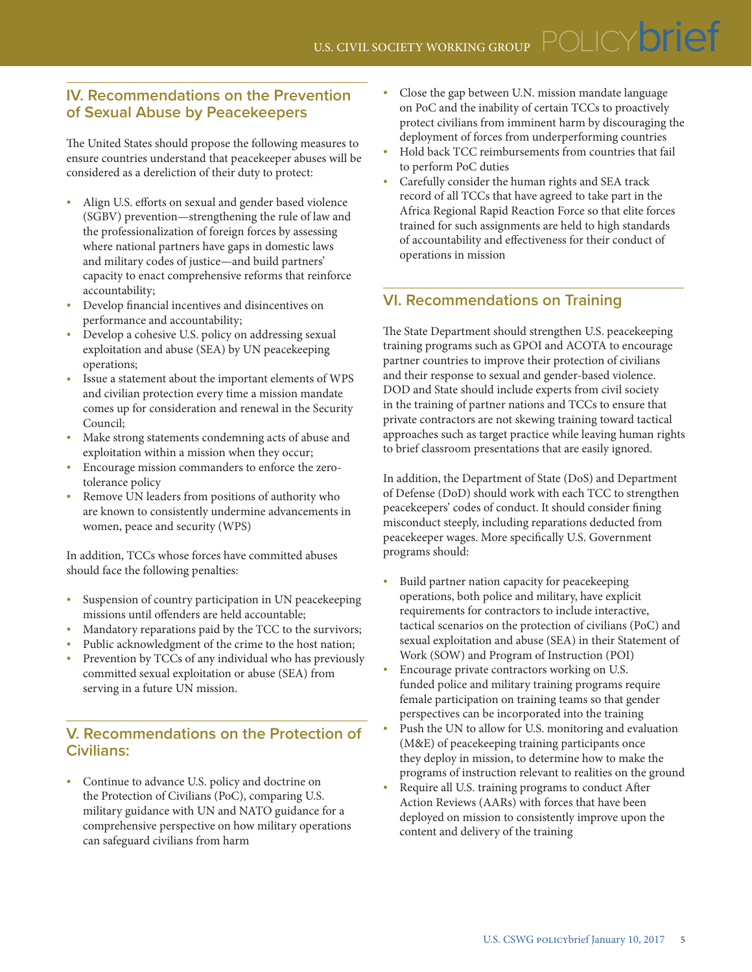### **IV. Recommendations on the Prevention of Sexual Abuse by Peacekeepers**

The United States should propose the following measures to ensure countries understand that peacekeeper abuses will be considered as a dereliction of their duty to protect:

- Align U.S. efforts on sexual and gender based violence (SGBV) prevention—strengthening the rule of law and the professionalization of foreign forces by assessing where national partners have gaps in domestic laws and military codes of justice—and build partners' capacity to enact comprehensive reforms that reinforce accountability;
- Develop financial incentives and disincentives on performance and accountability;
- Develop a cohesive U.S. policy on addressing sexual exploitation and abuse (SEA) by UN peacekeeping operations;
- Issue a statement about the important elements of WPS and civilian protection every time a mission mandate comes up for consideration and renewal in the Security Council;
- Make strong statements condemning acts of abuse and exploitation within a mission when they occur;
- Encourage mission commanders to enforce the zerotolerance policy
- Remove UN leaders from positions of authority who are known to consistently undermine advancements in women, peace and security (WPS)

In addition, TCCs whose forces have committed abuses should face the following penalties:

- Suspension of country participation in UN peacekeeping missions until offenders are held accountable;
- Mandatory reparations paid by the TCC to the survivors;
- Public acknowledgment of the crime to the host nation;
- Prevention by TCCs of any individual who has previously committed sexual exploitation or abuse (SEA) from serving in a future UN mission.

## **V. Recommendations on the Protection of Civilians:**

• Continue to advance U.S. policy and doctrine on the Protection of Civilians (PoC), comparing U.S. military guidance with UN and NATO guidance for a comprehensive perspective on how military operations can safeguard civilians from harm

- Close the gap between U.N. mission mandate language on PoC and the inability of certain TCCs to proactively protect civilians from imminent harm by discouraging the deployment of forces from underperforming countries
- Hold back TCC reimbursements from countries that fail to perform PoC duties
- Carefully consider the human rights and SEA track record of all TCCs that have agreed to take part in the Africa Regional Rapid Reaction Force so that elite forces trained for such assignments are held to high standards of accountability and effectiveness for their conduct of operations in mission

# **VI. Recommendations on Training**

The State Department should strengthen U.S. peacekeeping training programs such as GPOI and ACOTA to encourage partner countries to improve their protection of civilians and their response to sexual and gender-based violence. DOD and State should include experts from civil society in the training of partner nations and TCCs to ensure that private contractors are not skewing training toward tactical approaches such as target practice while leaving human rights to brief classroom presentations that are easily ignored.

In addition, the Department of State (DoS) and Department of Defense (DoD) should work with each TCC to strengthen peacekeepers' codes of conduct. It should consider fining misconduct steeply, including reparations deducted from peacekeeper wages. More specifically U.S. Government programs should:

- Build partner nation capacity for peacekeeping operations, both police and military, have explicit requirements for contractors to include interactive, tactical scenarios on the protection of civilians (PoC) and sexual exploitation and abuse (SEA) in their Statement of Work (SOW) and Program of Instruction (POI)
- Encourage private contractors working on U.S. funded police and military training programs require female participation on training teams so that gender perspectives can be incorporated into the training
- Push the UN to allow for U.S. monitoring and evaluation (M&E) of peacekeeping training participants once they deploy in mission, to determine how to make the programs of instruction relevant to realities on the ground
- Require all U.S. training programs to conduct After Action Reviews (AARs) with forces that have been deployed on mission to consistently improve upon the content and delivery of the training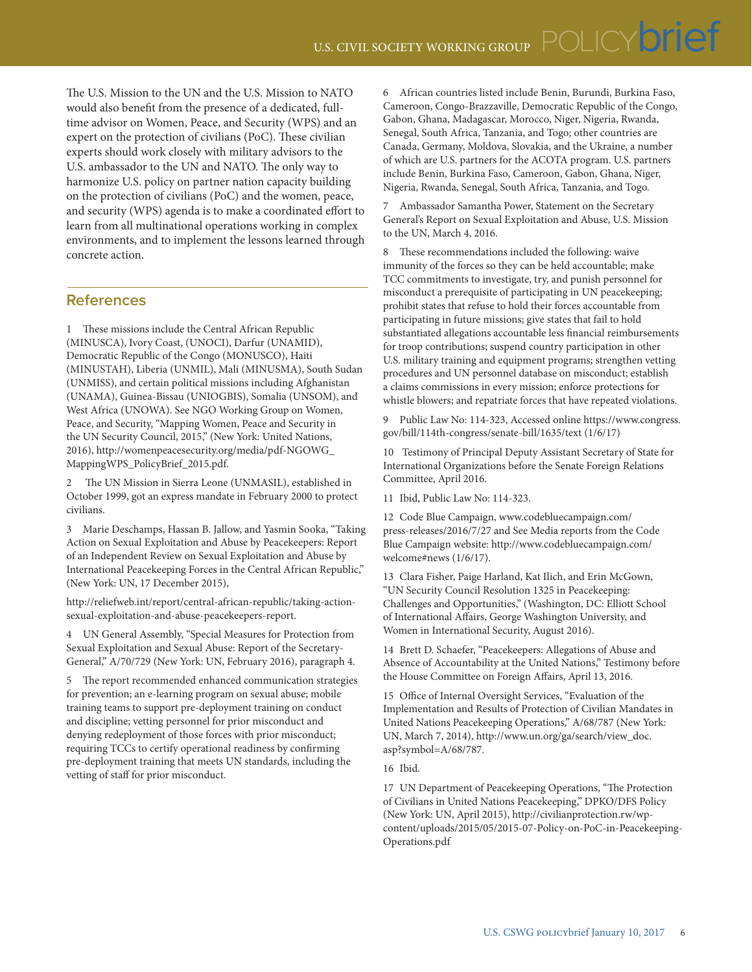The U.S. Mission to the UN and the U.S. Mission to NATO would also benefit from the presence of a dedicated, fulltime advisor on Women, Peace, and Security (WPS) and an expert on the protection of civilians (PoC). These civilian experts should work closely with military advisors to the U.S. ambassador to the UN and NATO. The only way to harmonize U.S. policy on partner nation capacity building on the protection of civilians (PoC) and the women, peace, and security (WPS) agenda is to make a coordinated effort to learn from all multinational operations working in complex environments, and to implement the lessons learned through concrete action.

#### **References**

1 These missions include the Central African Republic (MINUSCA), Ivory Coast, (UNOCI), Darfur (UNAMID), Democratic Republic of the Congo (MONUSCO), Haiti (MINUSTAH), Liberia (UNMIL), Mali (MINUSMA), South Sudan (UNMISS), and certain political missions including Afghanistan (UNAMA), Guinea-Bissau (UNIOGBIS), Somalia (UNSOM), and West Africa (UNOWA). See NGO Working Group on Women, Peace, and Security, "Mapping Women, Peace and Security in the UN Security Council, 2015," (New York: United Nations, 2016), [http://womenpeacesecurity.org/media/pdf-NGOWG\\_](http://womenpeacesecurity.org/media/pdf-NGOWG_MappingWPS_PolicyBrief_2015.pdf) [MappingWPS\\_PolicyBrief\\_2015.pdf.](http://womenpeacesecurity.org/media/pdf-NGOWG_MappingWPS_PolicyBrief_2015.pdf)

2 The UN Mission in Sierra Leone (UNMASIL), established in October 1999, got an express mandate in February 2000 to protect civilians.

3 Marie Deschamps, Hassan B. Jallow, and Yasmin Sooka, "Taking Action on Sexual Exploitation and Abuse by Peacekeepers: Report of an Independent Review on Sexual Exploitation and Abuse by International Peacekeeping Forces in the Central African Republic," (New York: UN, 17 December 2015),

[http://reliefweb.int/report/central-african-republic/taking-action](http://reliefweb.int/report/central-african-republic/taking-action-sexual-exploitation-and-abuse-peacekeepers-report)[sexual-exploitation-and-abuse-peacekeepers-report](http://reliefweb.int/report/central-african-republic/taking-action-sexual-exploitation-and-abuse-peacekeepers-report).

4 UN General Assembly, "Special Measures for Protection from Sexual Exploitation and Sexual Abuse: Report of the Secretary-General," A/70/729 (New York: UN, February 2016), paragraph 4.

5 The report recommended enhanced communication strategies for prevention; an e-learning program on sexual abuse; mobile training teams to support pre-deployment training on conduct and discipline; vetting personnel for prior misconduct and denying redeployment of those forces with prior misconduct; requiring TCCs to certify operational readiness by confirming pre-deployment training that meets UN standards, including the vetting of staff for prior misconduct.

6 African countries listed include Benin, Burundi, Burkina Faso, Cameroon, Congo-Brazzaville, Democratic Republic of the Congo, Gabon, Ghana, Madagascar, Morocco, Niger, Nigeria, Rwanda, Senegal, South Africa, Tanzania, and Togo; other countries are Canada, Germany, Moldova, Slovakia, and the Ukraine, a number of which are U.S. partners for the ACOTA program. U.S. partners include Benin, Burkina Faso, Cameroon, Gabon, Ghana, Niger, Nigeria, Rwanda, Senegal, South Africa, Tanzania, and Togo.

Ambassador Samantha Power, Statement on the Secretary General's Report on Sexual Exploitation and Abuse, U.S. Mission to the UN, March 4, 2016.

8 These recommendations included the following: waive immunity of the forces so they can be held accountable; make TCC commitments to investigate, try, and punish personnel for misconduct a prerequisite of participating in UN peacekeeping; prohibit states that refuse to hold their forces accountable from participating in future missions; give states that fail to hold substantiated allegations accountable less financial reimbursements for troop contributions; suspend country participation in other U.S. military training and equipment programs; strengthen vetting procedures and UN personnel database on misconduct; establish a claims commissions in every mission; enforce protections for whistle blowers; and repatriate forces that have repeated violations.

9 Public Law No: 114-323, Accessed online [https://www.congress.](https://www.congress.gov/bill/114th-congress/senate-bill/1635/text) [gov/bill/114th-congress/senate-bill/1635/text](https://www.congress.gov/bill/114th-congress/senate-bill/1635/text) (1/6/17)

10 Testimony of Principal Deputy Assistant Secretary of State for International Organizations before the Senate Foreign Relations Committee, April 2016.

11 Ibid, Public Law No: 114-323.

12 Code Blue Campaign, [www.codebluecampaign.com/](http://www.codebluecampaign.com/press-releases/2016/7/27) [press-releases/2016/7/27](http://www.codebluecampaign.com/press-releases/2016/7/27) and See Media reports from the Code Blue Campaign website: http://www.codebluecampaign.com/ welcome#news (1/6/17).

13 Clara Fisher, Paige Harland, Kat Ilich, and Erin McGown, "UN Security Council Resolution 1325 in Peacekeeping: Challenges and Opportunities," (Washington, DC: Elliott School of International Affairs, George Washington University, and Women in International Security, August 2016).

14 Brett D. Schaefer, "Peacekeepers: Allegations of Abuse and Absence of Accountability at the United Nations," Testimony before the House Committee on Foreign Affairs, April 13, 2016.

15 Office of Internal Oversight Services, "Evaluation of the Implementation and Results of Protection of Civilian Mandates in United Nations Peacekeeping Operations," A/68/787 (New York: UN, March 7, 2014), [http://www.un.org/ga/search/view\\_doc.](http://www.un.org/ga/search/view_doc.asp?symbol=A/68/787) [asp?symbol=A/68/787.](http://www.un.org/ga/search/view_doc.asp?symbol=A/68/787)

16 Ibid.

17 UN Department of Peacekeeping Operations, "The Protection of Civilians in United Nations Peacekeeping," DPKO/DFS Policy (New York: UN, April 2015), [http://civilianprotection.rw/wp](http://civilianprotection.rw/wp-content/uploads/2015/05/2015-07-Policy-on-PoC-in-Peacekeeping-Operations.pdf)[content/uploads/2015/05/2015-07-Policy-on-PoC-in-Peacekeeping-](http://civilianprotection.rw/wp-content/uploads/2015/05/2015-07-Policy-on-PoC-in-Peacekeeping-Operations.pdf)[Operations.pdf](http://civilianprotection.rw/wp-content/uploads/2015/05/2015-07-Policy-on-PoC-in-Peacekeeping-Operations.pdf)